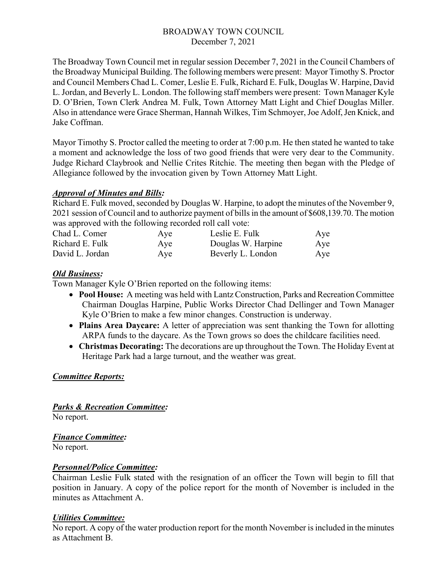## BROADWAY TOWN COUNCIL December 7, 2021

The Broadway Town Council met in regular session December 7, 2021 in the Council Chambers of the Broadway Municipal Building. The following members were present: Mayor Timothy S. Proctor and Council Members Chad L. Comer, Leslie E. Fulk, Richard E. Fulk, Douglas W. Harpine, David L. Jordan, and Beverly L. London. The following staff members were present: Town Manager Kyle D. O'Brien, Town Clerk Andrea M. Fulk, Town Attorney Matt Light and Chief Douglas Miller. Also in attendance were Grace Sherman, Hannah Wilkes, Tim Schmoyer, Joe Adolf, Jen Knick, and Jake Coffman.

Mayor Timothy S. Proctor called the meeting to order at 7:00 p.m. He then stated he wanted to take a moment and acknowledge the loss of two good friends that were very dear to the Community. Judge Richard Claybrook and Nellie Crites Ritchie. The meeting then began with the Pledge of Allegiance followed by the invocation given by Town Attorney Matt Light.

### *Approval of Minutes and Bills:*

Richard E. Fulk moved, seconded by Douglas W. Harpine, to adopt the minutes of the November 9, 2021 session of Council and to authorize payment of bills in the amount of \$608,139.70. The motion was approved with the following recorded roll call vote:

| Chad L. Comer<br>Richard E. Fulk | Aye | Leslie E. Fulk     | Aye |
|----------------------------------|-----|--------------------|-----|
|                                  | Aye | Douglas W. Harpine | Aye |
| David L. Jordan                  | Aye | Beverly L. London  | Aye |

# *Old Business:*

Town Manager Kyle O'Brien reported on the following items:

- **Pool House:** A meeting was held with Lantz Construction, Parks and Recreation Committee Chairman Douglas Harpine, Public Works Director Chad Dellinger and Town Manager Kyle O'Brien to make a few minor changes. Construction is underway.
- **Plains Area Daycare:** A letter of appreciation was sent thanking the Town for allotting ARPA funds to the daycare. As the Town grows so does the childcare facilities need.
- **Christmas Decorating:** The decorations are up throughout the Town. The Holiday Event at Heritage Park had a large turnout, and the weather was great.

### *Committee Reports:*

*Parks & Recreation Committee:*

No report.

*Finance Committee:*

No report.

# *Personnel/Police Committee:*

Chairman Leslie Fulk stated with the resignation of an officer the Town will begin to fill that position in January. A copy of the police report for the month of November is included in the minutes as Attachment A.

### *Utilities Committee:*

No report. A copy of the water production report for the month November is included in the minutes as Attachment B.